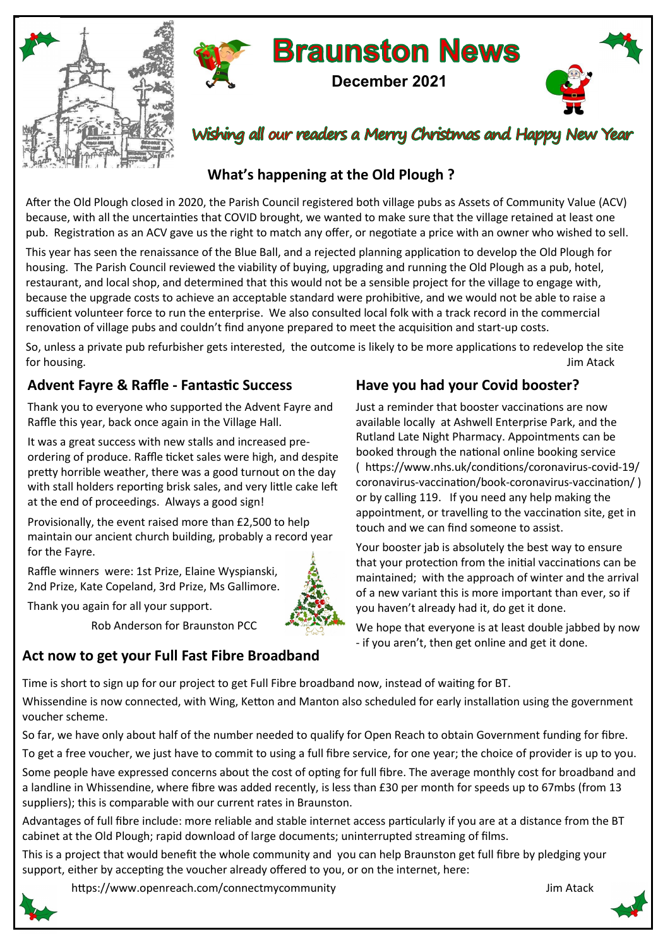



Wishing all our readers a Merry Christmas and Happy New Year

**December 2021**

**Braunston News** 

## **What's happening at the Old Plough ?**

After the Old Plough closed in 2020, the Parish Council registered both village pubs as Assets of Community Value (ACV) because, with all the uncertainties that COVID brought, we wanted to make sure that the village retained at least one pub. Registration as an ACV gave us the right to match any offer, or negotiate a price with an owner who wished to sell.

This year has seen the renaissance of the Blue Ball, and a rejected planning application to develop the Old Plough for housing. The Parish Council reviewed the viability of buying, upgrading and running the Old Plough as a pub, hotel, restaurant, and local shop, and determined that this would not be a sensible project for the village to engage with, because the upgrade costs to achieve an acceptable standard were prohibitive, and we would not be able to raise a sufficient volunteer force to run the enterprise. We also consulted local folk with a track record in the commercial renovation of village pubs and couldn't find anyone prepared to meet the acquisition and start-up costs.

So, unless a private pub refurbisher gets interested, the outcome is likely to be more applications to redevelop the site for housing. Jim Atack

## **Advent Fayre & Raffle - Fantastic Success**

Thank you to everyone who supported the Advent Fayre and Raffle this year, back once again in the Village Hall.

It was a great success with new stalls and increased preordering of produce. Raffle ticket sales were high, and despite pretty horrible weather, there was a good turnout on the day with stall holders reporting brisk sales, and very little cake left at the end of proceedings. Always a good sign!

Provisionally, the event raised more than £2,500 to help maintain our ancient church building, probably a record year for the Fayre.

Raffle winners were: 1st Prize, Elaine Wyspianski, 2nd Prize, Kate Copeland, 3rd Prize, Ms Gallimore.

Thank you again for all your support.



## **Have you had your Covid booster?**

Just a reminder that booster vaccinations are now available locally at Ashwell Enterprise Park, and the Rutland Late Night Pharmacy. Appointments can be booked through the national online booking service ( https://www.nhs.uk/conditions/coronavirus-covid-19/ coronavirus-vaccination/book-coronavirus-vaccination/ ) or by calling 119. If you need any help making the appointment, or travelling to the vaccination site, get in touch and we can find someone to assist.

Your booster jab is absolutely the best way to ensure that your protection from the initial vaccinations can be maintained; with the approach of winter and the arrival of a new variant this is more important than ever, so if you haven't already had it, do get it done.

We hope that everyone is at least double jabbed by now - if you aren't, then get online and get it done.

Rob Anderson for Braunston PCC **Act now to get your Full Fast Fibre Broadband** 

Time is short to sign up for our project to get Full Fibre broadband now, instead of waiting for BT.

Whissendine is now connected, with Wing, Ketton and Manton also scheduled for early installation using the government voucher scheme.

So far, we have only about half of the number needed to qualify for Open Reach to obtain Government funding for fibre.

To get a free voucher, we just have to commit to using a full fibre service, for one year; the choice of provider is up to you.

Some people have expressed concerns about the cost of opting for full fibre. The average monthly cost for broadband and a landline in Whissendine, where fibre was added recently, is less than £30 per month for speeds up to 67mbs (from 13 suppliers); this is comparable with our current rates in Braunston.

Advantages of full fibre include: more reliable and stable internet access particularly if you are at a distance from the BT cabinet at the Old Plough; rapid download of large documents; uninterrupted streaming of films.

This is a project that would benefit the whole community and you can help Braunston get full fibre by pledging your support, either by accepting the voucher already offered to you, or on the internet, here:

https://www.openreach.com/connectmycommunity discussed and the state of the state of the state of the state of